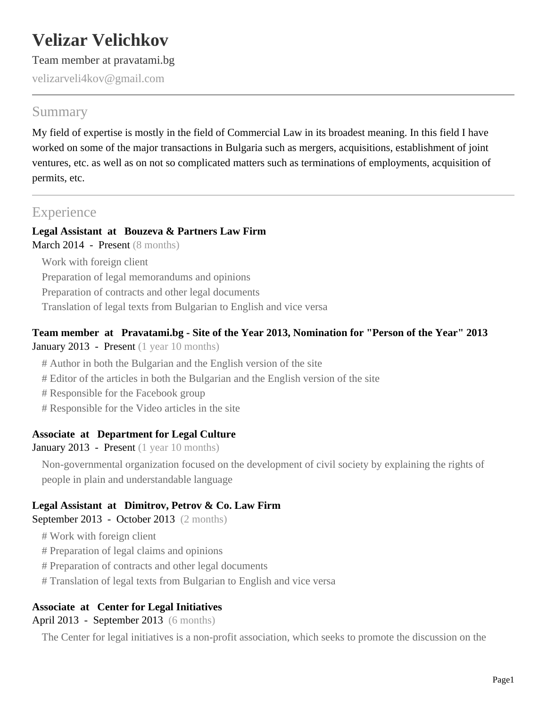# **Velizar Velichkov**

Team member at pravatami.bg

velizarveli4kov@gmail.com

# Summary

My field of expertise is mostly in the field of Commercial Law in its broadest meaning. In this field I have worked on some of the major transactions in Bulgaria such as mergers, acquisitions, establishment of joint ventures, etc. as well as on not so complicated matters such as terminations of employments, acquisition of permits, etc.

# **Experience**

# **Legal Assistant at Bouzeva & Partners Law Firm**

March 2014 - Present (8 months)

Work with foreign client Preparation of legal memorandums and opinions Preparation of contracts and other legal documents Translation of legal texts from Bulgarian to English and vice versa

#### **Team member at Pravatami.bg - Site of the Year 2013, Nomination for "Person of the Year" 2013** January 2013 - Present (1 year 10 months)

- # Author in both the Bulgarian and the English version of the site
- # Editor of the articles in both the Bulgarian and the English version of the site
- # Responsible for the Facebook group
- # Responsible for the Video articles in the site

#### **Associate at Department for Legal Culture**

January 2013 - Present (1 year 10 months)

Non-governmental organization focused on the development of civil society by explaining the rights of people in plain and understandable language

## **Legal Assistant at Dimitrov, Petrov & Co. Law Firm**

September 2013 - October 2013 (2 months)

- # Work with foreign client
- # Preparation of legal claims and opinions
- # Preparation of contracts and other legal documents
- # Translation of legal texts from Bulgarian to English and vice versa

## **Associate at Center for Legal Initiatives**

April 2013 - September 2013 (6 months)

The Center for legal initiatives is a non-profit association, which seeks to promote the discussion on the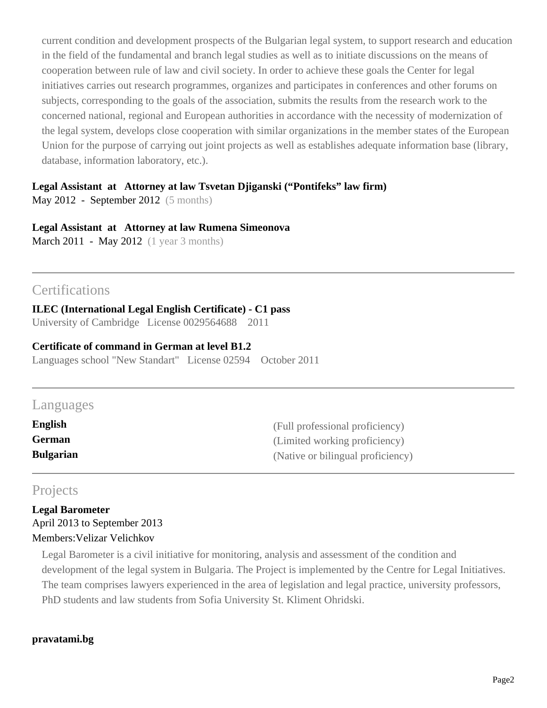current condition and development prospects of the Bulgarian legal system, to support research and education in the field of the fundamental and branch legal studies as well as to initiate discussions on the means of cooperation between rule of law and civil society. In order to achieve these goals the Center for legal initiatives carries out research programmes, organizes and participates in conferences and other forums on subjects, corresponding to the goals of the association, submits the results from the research work to the concerned national, regional and European authorities in accordance with the necessity of modernization of the legal system, develops close cooperation with similar organizations in the member states of the European Union for the purpose of carrying out joint projects as well as establishes adequate information base (library, database, information laboratory, etc.).

#### **Legal Assistant at Attorney at law Tsvetan Djiganski ("Pontifeks" law firm)**

May 2012 - September 2012 (5 months)

#### **Legal Assistant at Attorney at law Rumena Simeonova**

March 2011 - May 2012 (1 year 3 months)

# **Certifications**

**ILEC (International Legal English Certificate) - C1 pass** University of Cambridge License 0029564688 2011

#### **Certificate of command in German at level B1.2**

Languages school "New Standart" License 02594 October 2011

## Languages

| English          | (Full professional proficiency)   |
|------------------|-----------------------------------|
| <b>German</b>    | (Limited working proficiency)     |
| <b>Bulgarian</b> | (Native or bilingual proficiency) |

## Projects

**Legal Barometer** April 2013 to September 2013 Members:Velizar Velichkov

Legal Barometer is a civil initiative for monitoring, analysis and assessment of the condition and development of the legal system in Bulgaria. The Project is implemented by the Centre for Legal Initiatives. The team comprises lawyers experienced in the area of legislation and legal practice, university professors, PhD students and law students from Sofia University St. Kliment Ohridski.

#### **pravatami.bg**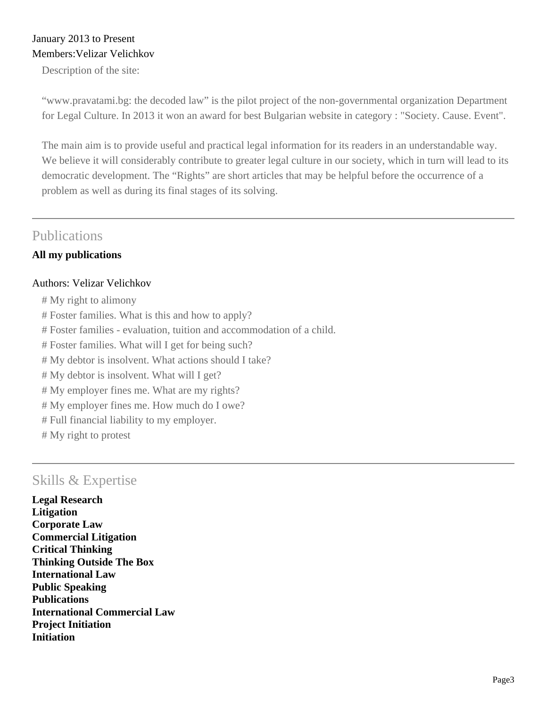#### January 2013 to Present Members:Velizar Velichkov

Description of the site:

"www.pravatami.bg: the decoded law" is the pilot project of the non-governmental organization Department for Legal Culture. In 2013 it won an award for best Bulgarian website in category : "Society. Cause. Event".

The main aim is to provide useful and practical legal information for its readers in an understandable way. We believe it will considerably contribute to greater legal culture in our society, which in turn will lead to its democratic development. The "Rights" are short articles that may be helpful before the occurrence of a problem as well as during its final stages of its solving.

## Publications

#### **All my publications**

#### Authors: Velizar Velichkov

- # My right to alimony
- # Foster families. What is this and how to apply?
- # Foster families evaluation, tuition and accommodation of a child.
- # Foster families. What will I get for being such?
- # My debtor is insolvent. What actions should I take?
- # My debtor is insolvent. What will I get?
- # My employer fines me. What are my rights?
- # My employer fines me. How much do I owe?
- # Full financial liability to my employer.
- # My right to protest

# Skills & Expertise

**Legal Research Litigation Corporate Law Commercial Litigation Critical Thinking Thinking Outside The Box International Law Public Speaking Publications International Commercial Law Project Initiation Initiation**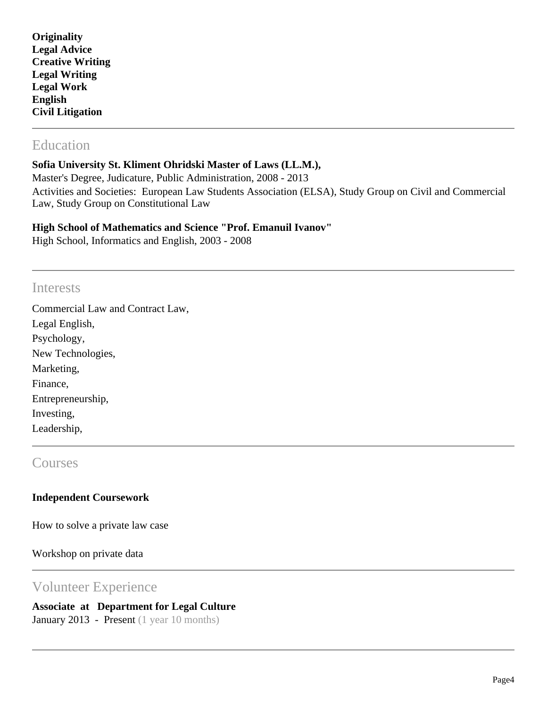| Originality             |  |
|-------------------------|--|
| <b>Legal Advice</b>     |  |
| <b>Creative Writing</b> |  |
| <b>Legal Writing</b>    |  |
| <b>Legal Work</b>       |  |
| <b>English</b>          |  |
| <b>Civil Litigation</b> |  |

# Education

#### **Sofia University St. Kliment Ohridski Master of Laws (LL.M.),**

Master's Degree, Judicature, Public Administration, 2008 - 2013 Activities and Societies: European Law Students Association (ELSA), Study Group on Civil and Commercial Law, Study Group on Constitutional Law

#### **High School of Mathematics and Science "Prof. Emanuil Ivanov"**

High School, Informatics and English, 2003 - 2008

#### **Interests**

Commercial Law and Contract Law, Legal English, Psychology, New Technologies, Marketing, Finance, Entrepreneurship, Investing, Leadership,

#### **Courses**

#### **Independent Coursework**

How to solve a private law case

Workshop on private data

#### Volunteer Experience

# **Associate at Department for Legal Culture**

January 2013 - Present (1 year 10 months)